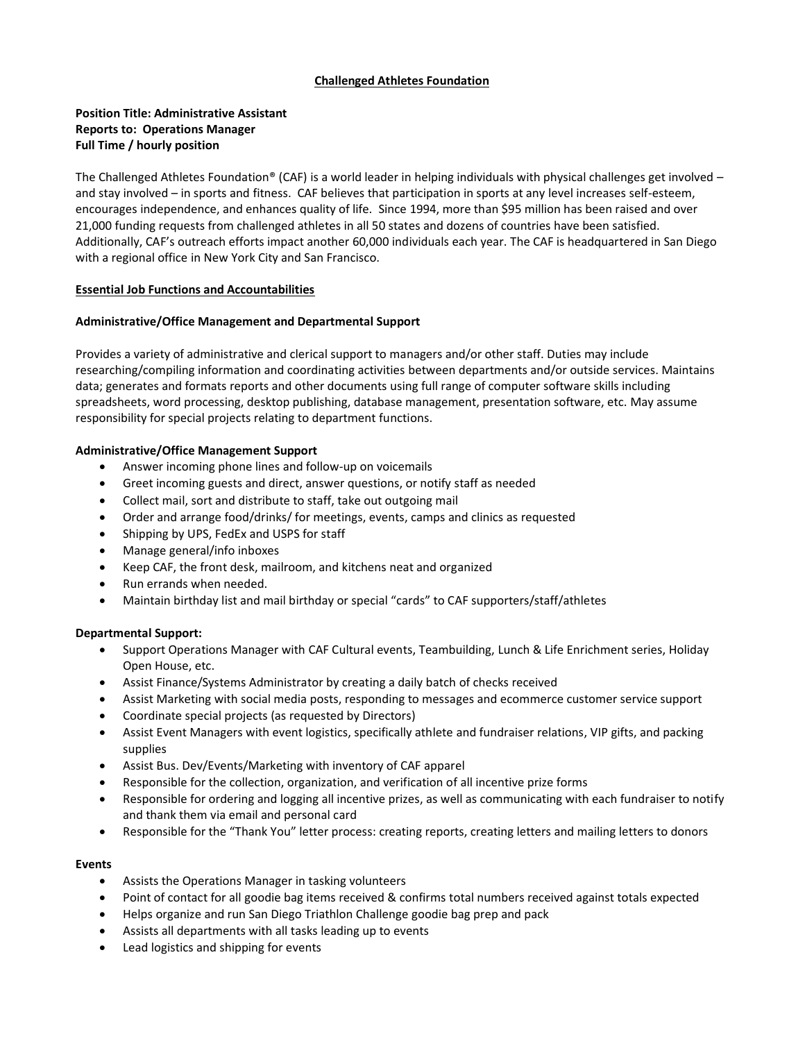### **Challenged Athletes Foundation**

# **Position Title: Administrative Assistant Reports to: Operations Manager Full Time / hourly position**

The Challenged Athletes Foundation® (CAF) is a world leader in helping individuals with physical challenges get involved – and stay involved – in sports and fitness. CAF believes that participation in sports at any level increases self-esteem, encourages independence, and enhances quality of life. Since 1994, more than \$95 million has been raised and over 21,000 funding requests from challenged athletes in all 50 states and dozens of countries have been satisfied. Additionally, CAF's outreach efforts impact another 60,000 individuals each year. The CAF is headquartered in San Diego with a regional office in New York City and San Francisco.

### **Essential Job Functions and Accountabilities**

## **Administrative/Office Management and Departmental Support**

Provides a variety of administrative and clerical support to managers and/or other staff. Duties may include researching/compiling information and coordinating activities between departments and/or outside services. Maintains data; generates and formats reports and other documents using full range of computer software skills including spreadsheets, word processing, desktop publishing, database management, presentation software, etc. May assume responsibility for special projects relating to department functions.

### **Administrative/Office Management Support**

- Answer incoming phone lines and follow-up on voicemails
- Greet incoming guests and direct, answer questions, or notify staff as needed
- Collect mail, sort and distribute to staff, take out outgoing mail
- Order and arrange food/drinks/ for meetings, events, camps and clinics as requested
- Shipping by UPS, FedEx and USPS for staff
- Manage general/info inboxes
- Keep CAF, the front desk, mailroom, and kitchens neat and organized
- Run errands when needed.
- Maintain birthday list and mail birthday or special "cards" to CAF supporters/staff/athletes

### **Departmental Support:**

- Support Operations Manager with CAF Cultural events, Teambuilding, Lunch & Life Enrichment series, Holiday Open House, etc.
- Assist Finance/Systems Administrator by creating a daily batch of checks received
- Assist Marketing with social media posts, responding to messages and ecommerce customer service support
- Coordinate special projects (as requested by Directors)
- Assist Event Managers with event logistics, specifically athlete and fundraiser relations, VIP gifts, and packing supplies
- Assist Bus. Dev/Events/Marketing with inventory of CAF apparel
- Responsible for the collection, organization, and verification of all incentive prize forms
- Responsible for ordering and logging all incentive prizes, as well as communicating with each fundraiser to notify and thank them via email and personal card
- Responsible for the "Thank You" letter process: creating reports, creating letters and mailing letters to donors

### **Events**

- Assists the Operations Manager in tasking volunteers
- Point of contact for all goodie bag items received & confirms total numbers received against totals expected
- Helps organize and run San Diego Triathlon Challenge goodie bag prep and pack
- Assists all departments with all tasks leading up to events
- Lead logistics and shipping for events